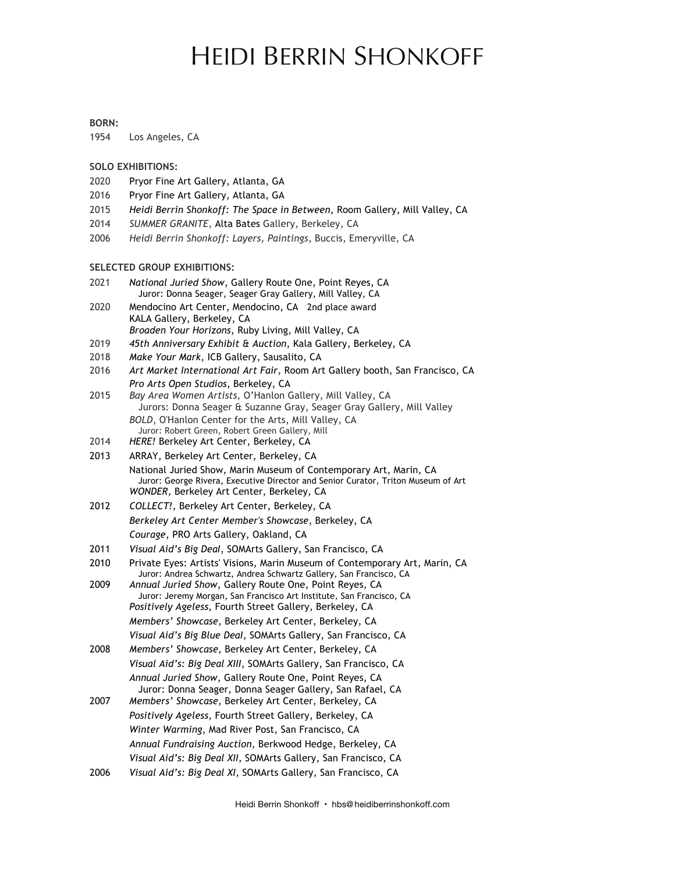# HEIDI BERRIN SHONKOFF

#### **BORN:**

1954 Los Angeles, CA

#### **SOLO EXHIBITIONS:**

- 2020 Pryor Fine Art Gallery, Atlanta, GA
- 2016 Pryor Fine Art Gallery, Atlanta, GA
- 2015 *Heidi Berrin Shonkoff: The Space in Between*, Room Gallery, Mill Valley, CA
- 2014 *SUMMER GRANITE*, Alta Bates Gallery, Berkeley, CA
- 2006 *Heidi Berrin Shonkoff: Layers, Paintings*, Buccis, Emeryville, CA

#### **SELECTED GROUP EXHIBITIONS:**

- 2021 *National Juried Show*, Gallery Route One, Point Reyes, CA Juror: Donna Seager, Seager Gray Gallery, Mill Valley, CA
- 2020 Mendocino Art Center, Mendocino, CA 2nd place award KALA Gallery, Berkeley, CA *Broaden Your Horizons*, Ruby Living, Mill Valley, CA
- 2019 *45th Anniversary Exhibit & Auction*, Kala Gallery, Berkeley, CA
- 2018 *Make Your Mark*, ICB Gallery, Sausalito, CA
- 2016 *Art Market International Art Fair,* Room Art Gallery booth, San Francisco, CA *Pro Arts Open Studios*, Berkeley, CA
- 2015 *Bay Area Women Artists,* O'Hanlon Gallery, Mill Valley, CA Jurors: Donna Seager & Suzanne Gray, Seager Gray Gallery, Mill Valley *BOLD*, O'Hanlon Center for the Arts, Mill Valley, CA Juror: Robert Green, Robert Green Gallery, Mill
- 2014 *HERE!* Berkeley Art Center, Berkeley, CA
- 2013 ARRAY, Berkeley Art Center, Berkeley, CA National Juried Show, Marin Museum of Contemporary Art, Marin, CA Juror: George Rivera, Executive Director and Senior Curator, Triton Museum of Art *WONDER,* Berkeley Art Center, Berkeley, CA
- 2012 *COLLECT!,* Berkeley Art Center, Berkeley, CA *Berkeley Art Center Member's Showcase*, Berkeley, CA *Courage*, PRO Arts Gallery, Oakland, CA
- 2011 *Visual Aid's Big DeaI*, SOMArts Gallery, San Francisco, CA
- 2010 Private Eyes: Artists' Visions, Marin Museum of Contemporary Art, Marin, CA Juror: Andrea Schwartz, Andrea Schwartz Gallery, San Francisco, CA
- 2009 *Annual Juried Show*, Gallery Route One, Point Reyes, CA Juror: Jeremy Morgan, San Francisco Art Institute, San Francisco, CA *Positively Ageless*, Fourth Street Gallery, Berkeley, CA *Members' Showcase*, Berkeley Art Center, Berkeley, CA *Visual Aid's Big Blue DeaI*, SOMArts Gallery, San Francisco, CA
- 2008 *Members' Showcase*, Berkeley Art Center, Berkeley, CA *Visual Aid's: Big Deal XIII*, SOMArts Gallery, San Francisco, CA *Annual Juried Show*, Gallery Route One, Point Reyes, CA Juror: Donna Seager, Donna Seager Gallery, San Rafael, CA
- 2007 *Members' Showcase*, Berkeley Art Center, Berkeley, CA *Positively Ageless*, Fourth Street Gallery, Berkeley, CA *Winter Warming*, Mad River Post, San Francisco, CA *Annual Fundraising Auction*, Berkwood Hedge, Berkeley, CA *Visual Aid's: Big Deal XII*, SOMArts Gallery, San Francisco, CA
- 2006 *Visual Aid's: Big Deal XI*, SOMArts Gallery, San Francisco, CA